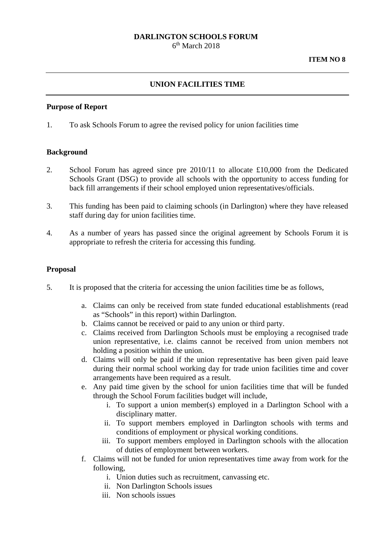# **DARLINGTON SCHOOLS FORUM**

 $6<sup>th</sup> March 2018$ 

### **UNION FACILITIES TIME**

#### **Purpose of Report**

1. To ask Schools Forum to agree the revised policy for union facilities time

### **Background**

- 2. School Forum has agreed since pre 2010/11 to allocate £10,000 from the Dedicated Schools Grant (DSG) to provide all schools with the opportunity to access funding for back fill arrangements if their school employed union representatives/officials.
- 3. This funding has been paid to claiming schools (in Darlington) where they have released staff during day for union facilities time.
- 4. As a number of years has passed since the original agreement by Schools Forum it is appropriate to refresh the criteria for accessing this funding.

#### **Proposal**

- 5. It is proposed that the criteria for accessing the union facilities time be as follows,
	- a. Claims can only be received from state funded educational establishments (read as "Schools" in this report) within Darlington.
	- b. Claims cannot be received or paid to any union or third party.
	- c. Claims received from Darlington Schools must be employing a recognised trade union representative, i.e. claims cannot be received from union members not holding a position within the union.
	- d. Claims will only be paid if the union representative has been given paid leave during their normal school working day for trade union facilities time and cover arrangements have been required as a result.
	- e. Any paid time given by the school for union facilities time that will be funded through the School Forum facilities budget will include,
		- i. To support a union member(s) employed in a Darlington School with a disciplinary matter.
		- ii. To support members employed in Darlington schools with terms and conditions of employment or physical working conditions.
		- iii. To support members employed in Darlington schools with the allocation of duties of employment between workers.
	- f. Claims will not be funded for union representatives time away from work for the following,
		- i. Union duties such as recruitment, canvassing etc.
		- ii. Non Darlington Schools issues
		- iii. Non schools issues